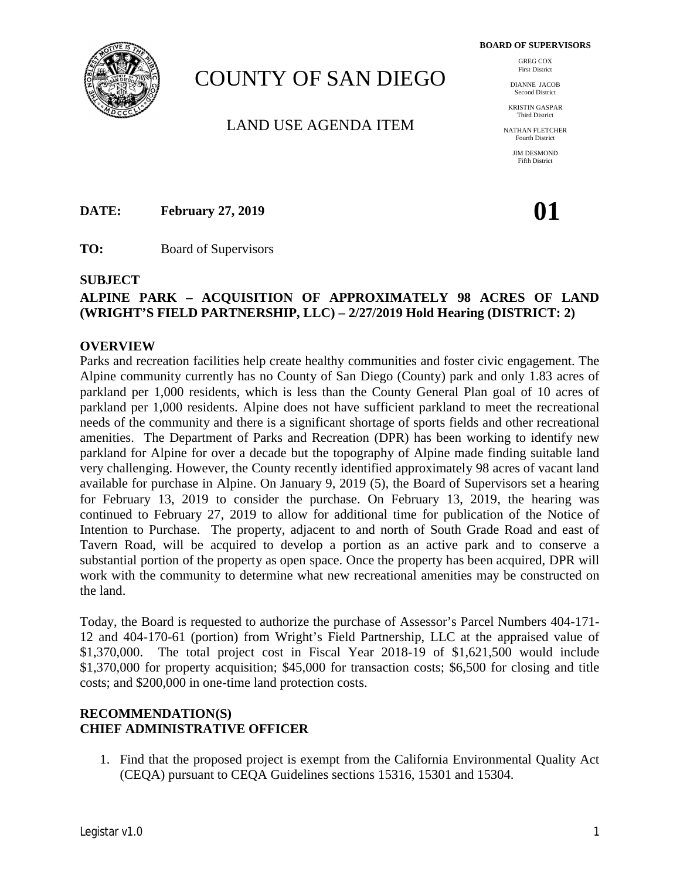**BOARD OF SUPERVISORS**



# COUNTY OF SAN DIEGO

LAND USE AGENDA ITEM

GREG COX First District

DIANNE JACOB Second District

KRISTIN GASPAR Third District

NATHAN FLETCHER Fourth District

> JIM DESMOND Fifth District

**DATE: February 27, 2019 01** 

**TO:** Board of Supervisors

#### **SUBJECT**

# **ALPINE PARK – ACQUISITION OF APPROXIMATELY 98 ACRES OF LAND (WRIGHT'S FIELD PARTNERSHIP, LLC) – 2/27/2019 Hold Hearing (DISTRICT: 2)**

#### **OVERVIEW**

Parks and recreation facilities help create healthy communities and foster civic engagement. The Alpine community currently has no County of San Diego (County) park and only 1.83 acres of parkland per 1,000 residents, which is less than the County General Plan goal of 10 acres of parkland per 1,000 residents. Alpine does not have sufficient parkland to meet the recreational needs of the community and there is a significant shortage of sports fields and other recreational amenities. The Department of Parks and Recreation (DPR) has been working to identify new parkland for Alpine for over a decade but the topography of Alpine made finding suitable land very challenging. However, the County recently identified approximately 98 acres of vacant land available for purchase in Alpine. On January 9, 2019 (5), the Board of Supervisors set a hearing for February 13, 2019 to consider the purchase. On February 13, 2019, the hearing was continued to February 27, 2019 to allow for additional time for publication of the Notice of Intention to Purchase. The property, adjacent to and north of South Grade Road and east of Tavern Road, will be acquired to develop a portion as an active park and to conserve a substantial portion of the property as open space. Once the property has been acquired, DPR will work with the community to determine what new recreational amenities may be constructed on the land.

Today, the Board is requested to authorize the purchase of Assessor's Parcel Numbers 404-171- 12 and 404-170-61 (portion) from Wright's Field Partnership, LLC at the appraised value of \$1,370,000. The total project cost in Fiscal Year 2018-19 of \$1,621,500 would include \$1,370,000 for property acquisition; \$45,000 for transaction costs; \$6,500 for closing and title costs; and \$200,000 in one-time land protection costs.

## **RECOMMENDATION(S) CHIEF ADMINISTRATIVE OFFICER**

1. Find that the proposed project is exempt from the California Environmental Quality Act (CEQA) pursuant to CEQA Guidelines sections 15316, 15301 and 15304.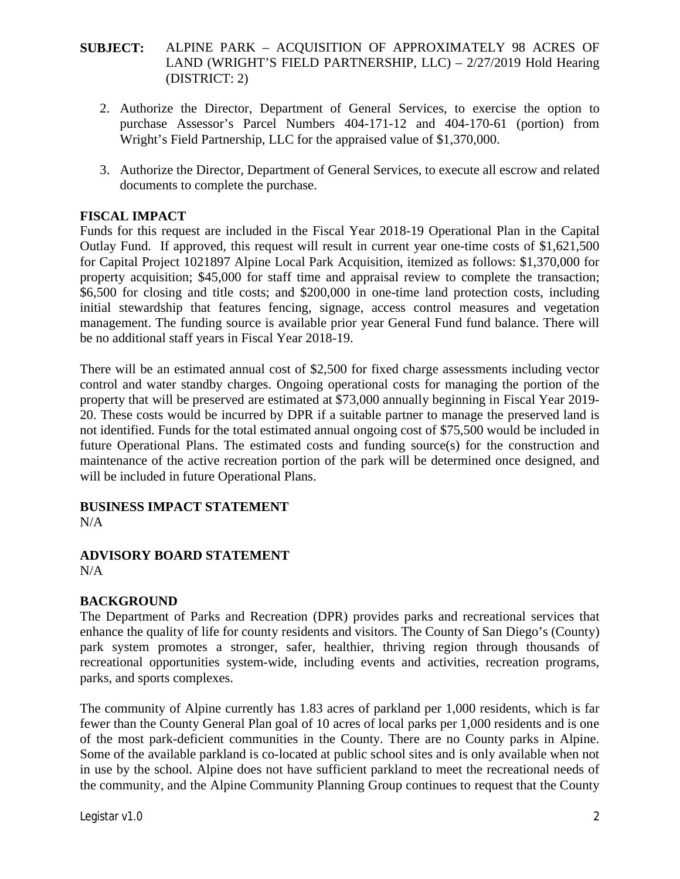- 2. Authorize the Director, Department of General Services, to exercise the option to purchase Assessor's Parcel Numbers 404-171-12 and 404-170-61 (portion) from Wright's Field Partnership, LLC for the appraised value of \$1,370,000.
- 3. Authorize the Director, Department of General Services, to execute all escrow and related documents to complete the purchase.

## **FISCAL IMPACT**

Funds for this request are included in the Fiscal Year 2018-19 Operational Plan in the Capital Outlay Fund. If approved, this request will result in current year one-time costs of \$1,621,500 for Capital Project 1021897 Alpine Local Park Acquisition, itemized as follows: \$1,370,000 for property acquisition; \$45,000 for staff time and appraisal review to complete the transaction; \$6,500 for closing and title costs; and \$200,000 in one-time land protection costs, including initial stewardship that features fencing, signage, access control measures and vegetation management. The funding source is available prior year General Fund fund balance. There will be no additional staff years in Fiscal Year 2018-19.

There will be an estimated annual cost of \$2,500 for fixed charge assessments including vector control and water standby charges. Ongoing operational costs for managing the portion of the property that will be preserved are estimated at \$73,000 annually beginning in Fiscal Year 2019- 20. These costs would be incurred by DPR if a suitable partner to manage the preserved land is not identified. Funds for the total estimated annual ongoing cost of \$75,500 would be included in future Operational Plans. The estimated costs and funding source(s) for the construction and maintenance of the active recreation portion of the park will be determined once designed, and will be included in future Operational Plans.

# **BUSINESS IMPACT STATEMENT**

 $N/A$ 

#### **ADVISORY BOARD STATEMENT**  $N/A$

# **BACKGROUND**

The Department of Parks and Recreation (DPR) provides parks and recreational services that enhance the quality of life for county residents and visitors. The County of San Diego's (County) park system promotes a stronger, safer, healthier, thriving region through thousands of recreational opportunities system-wide, including events and activities, recreation programs, parks, and sports complexes.

The community of Alpine currently has 1.83 acres of parkland per 1,000 residents, which is far fewer than the County General Plan goal of 10 acres of local parks per 1,000 residents and is one of the most park-deficient communities in the County. There are no County parks in Alpine. Some of the available parkland is co-located at public school sites and is only available when not in use by the school. Alpine does not have sufficient parkland to meet the recreational needs of the community, and the Alpine Community Planning Group continues to request that the County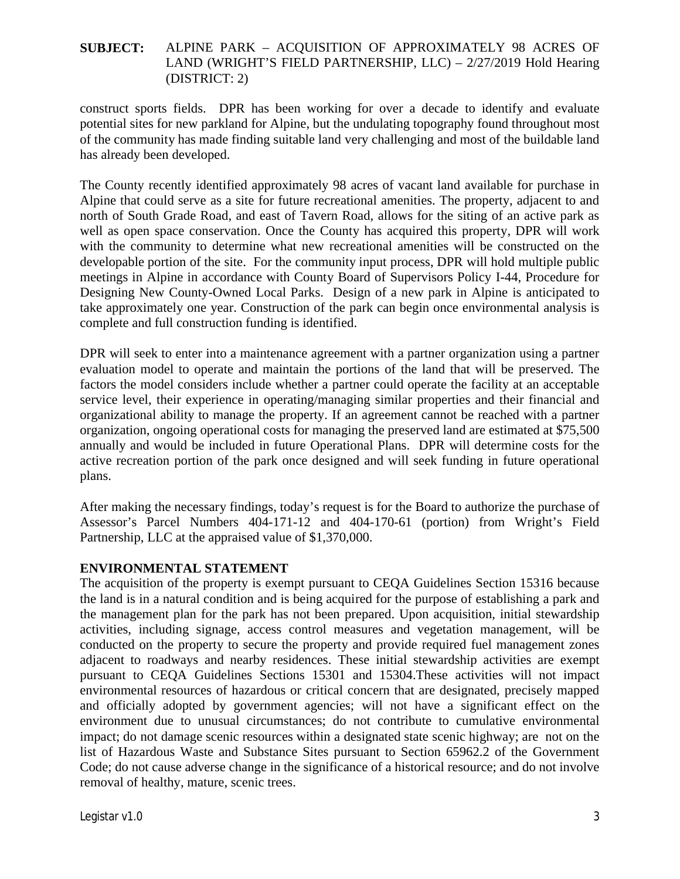construct sports fields. DPR has been working for over a decade to identify and evaluate potential sites for new parkland for Alpine, but the undulating topography found throughout most of the community has made finding suitable land very challenging and most of the buildable land has already been developed.

The County recently identified approximately 98 acres of vacant land available for purchase in Alpine that could serve as a site for future recreational amenities. The property, adjacent to and north of South Grade Road, and east of Tavern Road, allows for the siting of an active park as well as open space conservation. Once the County has acquired this property, DPR will work with the community to determine what new recreational amenities will be constructed on the developable portion of the site. For the community input process, DPR will hold multiple public meetings in Alpine in accordance with County Board of Supervisors Policy I-44, Procedure for Designing New County-Owned Local Parks. Design of a new park in Alpine is anticipated to take approximately one year. Construction of the park can begin once environmental analysis is complete and full construction funding is identified.

DPR will seek to enter into a maintenance agreement with a partner organization using a partner evaluation model to operate and maintain the portions of the land that will be preserved. The factors the model considers include whether a partner could operate the facility at an acceptable service level, their experience in operating/managing similar properties and their financial and organizational ability to manage the property. If an agreement cannot be reached with a partner organization, ongoing operational costs for managing the preserved land are estimated at \$75,500 annually and would be included in future Operational Plans. DPR will determine costs for the active recreation portion of the park once designed and will seek funding in future operational plans.

After making the necessary findings, today's request is for the Board to authorize the purchase of Assessor's Parcel Numbers 404-171-12 and 404-170-61 (portion) from Wright's Field Partnership, LLC at the appraised value of \$1,370,000.

# **ENVIRONMENTAL STATEMENT**

The acquisition of the property is exempt pursuant to CEQA Guidelines Section 15316 because the land is in a natural condition and is being acquired for the purpose of establishing a park and the management plan for the park has not been prepared. Upon acquisition, initial stewardship activities, including signage, access control measures and vegetation management, will be conducted on the property to secure the property and provide required fuel management zones adjacent to roadways and nearby residences. These initial stewardship activities are exempt pursuant to CEQA Guidelines Sections 15301 and 15304.These activities will not impact environmental resources of hazardous or critical concern that are designated, precisely mapped and officially adopted by government agencies; will not have a significant effect on the environment due to unusual circumstances; do not contribute to cumulative environmental impact; do not damage scenic resources within a designated state scenic highway; are not on the list of Hazardous Waste and Substance Sites pursuant to Section 65962.2 of the Government Code; do not cause adverse change in the significance of a historical resource; and do not involve removal of healthy, mature, scenic trees.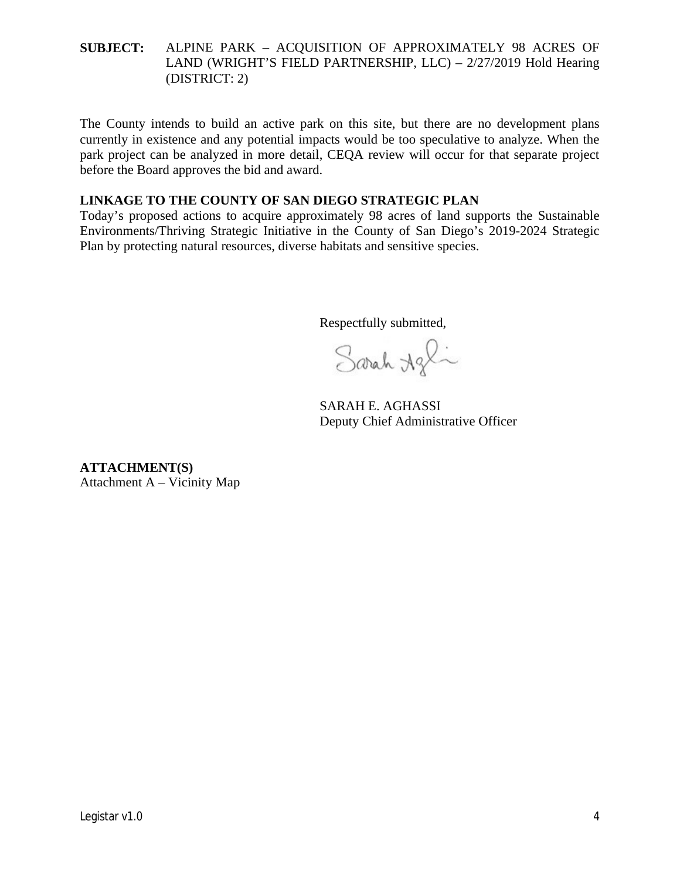The County intends to build an active park on this site, but there are no development plans currently in existence and any potential impacts would be too speculative to analyze. When the park project can be analyzed in more detail, CEQA review will occur for that separate project before the Board approves the bid and award.

### **LINKAGE TO THE COUNTY OF SAN DIEGO STRATEGIC PLAN**

Today's proposed actions to acquire approximately 98 acres of land supports the Sustainable Environments/Thriving Strategic Initiative in the County of San Diego's 2019-2024 Strategic Plan by protecting natural resources, diverse habitats and sensitive species.

Respectfully submitted,

Sarah Agli

SARAH E. AGHASSI Deputy Chief Administrative Officer

**ATTACHMENT(S)** Attachment A – Vicinity Map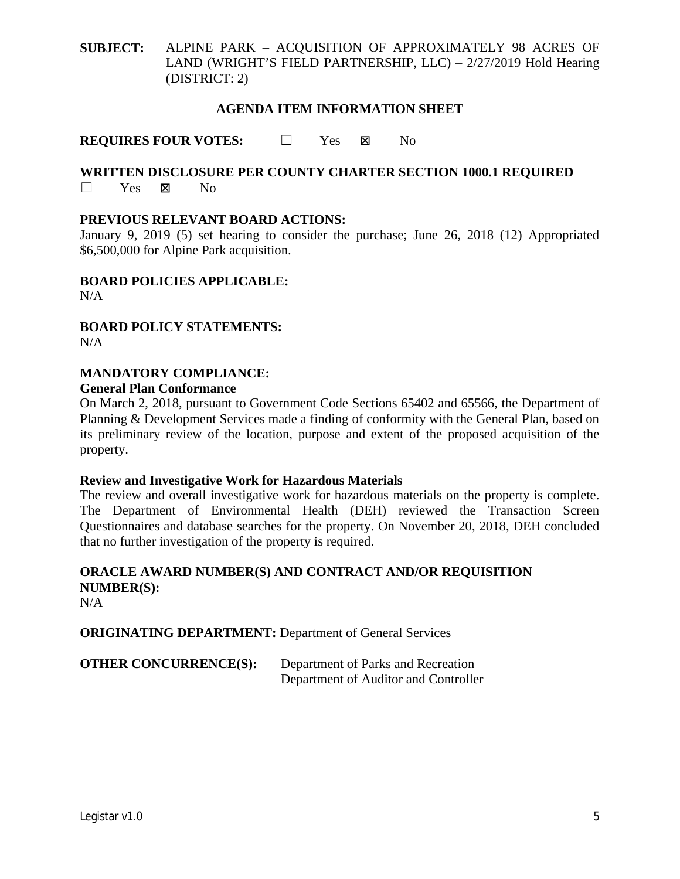#### **AGENDA ITEM INFORMATION SHEET**

**REQUIRES FOUR VOTES:** □ Yes No

### **WRITTEN DISCLOSURE PER COUNTY CHARTER SECTION 1000.1 REQUIRED** ☐ Yes No

#### **PREVIOUS RELEVANT BOARD ACTIONS:**

January 9, 2019 (5) set hearing to consider the purchase; June 26, 2018 (12) Appropriated \$6,500,000 for Alpine Park acquisition.

**BOARD POLICIES APPLICABLE:**  $N/A$ 

**BOARD POLICY STATEMENTS:**  $N/A$ 

#### **MANDATORY COMPLIANCE:**

#### **General Plan Conformance**

On March 2, 2018, pursuant to Government Code Sections 65402 and 65566, the Department of Planning & Development Services made a finding of conformity with the General Plan, based on its preliminary review of the location, purpose and extent of the proposed acquisition of the property.

#### **Review and Investigative Work for Hazardous Materials**

The review and overall investigative work for hazardous materials on the property is complete. The Department of Environmental Health (DEH) reviewed the Transaction Screen Questionnaires and database searches for the property. On November 20, 2018, DEH concluded that no further investigation of the property is required.

# **ORACLE AWARD NUMBER(S) AND CONTRACT AND/OR REQUISITION NUMBER(S):**

N/A

**ORIGINATING DEPARTMENT:** Department of General Services

| <b>OTHER CONCURRENCE(S):</b> | Department of Parks and Recreation   |
|------------------------------|--------------------------------------|
|                              | Department of Auditor and Controller |